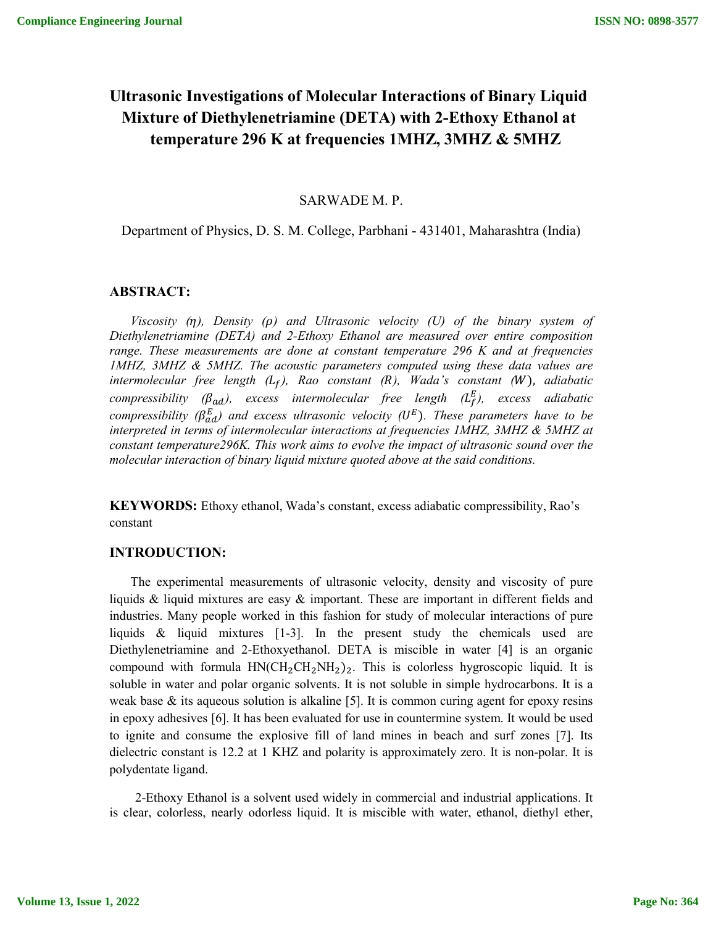# **Ultrasonic Investigations of Molecular Interactions of Binary Liquid Mixture of Diethylenetriamine (DETA) with 2-Ethoxy Ethanol at temperature 296 K at frequencies 1MHZ, 3MHZ & 5MHZ**

#### SARWADE M. P.

## Department of Physics, D. S. M. College, Parbhani - 431401, Maharashtra (India)

# **ABSTRACT:**

*Viscosity* ( $\eta$ ), Density ( $\rho$ ) and Ultrasonic velocity (U) of the binary system of *Diethylenetriamine (DETA) and 2-Ethoxy Ethanol are measured over entire composition range. These measurements are done at constant temperature 296 K and at frequencies 1MHZ, 3MHZ & 5MHZ. The acoustic parameters computed using these data values are intermolecular free length (), Rao constant (), Wada's constant (*), *adiabatic compressibility (* $\beta_{ad}$ *), excess intermolecular free length (* $L_f^E$ *), excess adiabatic compressibility (* $\beta_{ad}^E$ *) and excess ultrasonic velocity (* $U^E$ *). These parameters have to be interpreted in terms of intermolecular interactions at frequencies 1MHZ, 3MHZ & 5MHZ at constant temperature296K. This work aims to evolve the impact of ultrasonic sound over the molecular interaction of binary liquid mixture quoted above at the said conditions.*

**KEYWORDS:** Ethoxy ethanol, Wada's constant, excess adiabatic compressibility, Rao's constant

### **INTRODUCTION:**

 The experimental measurements of ultrasonic velocity, density and viscosity of pure liquids & liquid mixtures are easy  $\&$  important. These are important in different fields and industries. Many people worked in this fashion for study of molecular interactions of pure liquids & liquid mixtures [1-3]. In the present study the chemicals used are Diethylenetriamine and 2-Ethoxyethanol. DETA is miscible in water [4] is an organic compound with formula  $HN(CH_2CH_2NH_2)_2$ . This is colorless hygroscopic liquid. It is soluble in water and polar organic solvents. It is not soluble in simple hydrocarbons. It is a weak base  $\&$  its aqueous solution is alkaline [5]. It is common curing agent for epoxy resins in epoxy adhesives [6]. It has been evaluated for use in countermine system. It would be used to ignite and consume the explosive fill of land mines in beach and surf zones [7]. Its dielectric constant is 12.2 at 1 KHZ and polarity is approximately zero. It is non-polar. It is polydentate ligand.

 2-Ethoxy Ethanol is a solvent used widely in commercial and industrial applications. It is clear, colorless, nearly odorless liquid. It is miscible with water, ethanol, diethyl ether,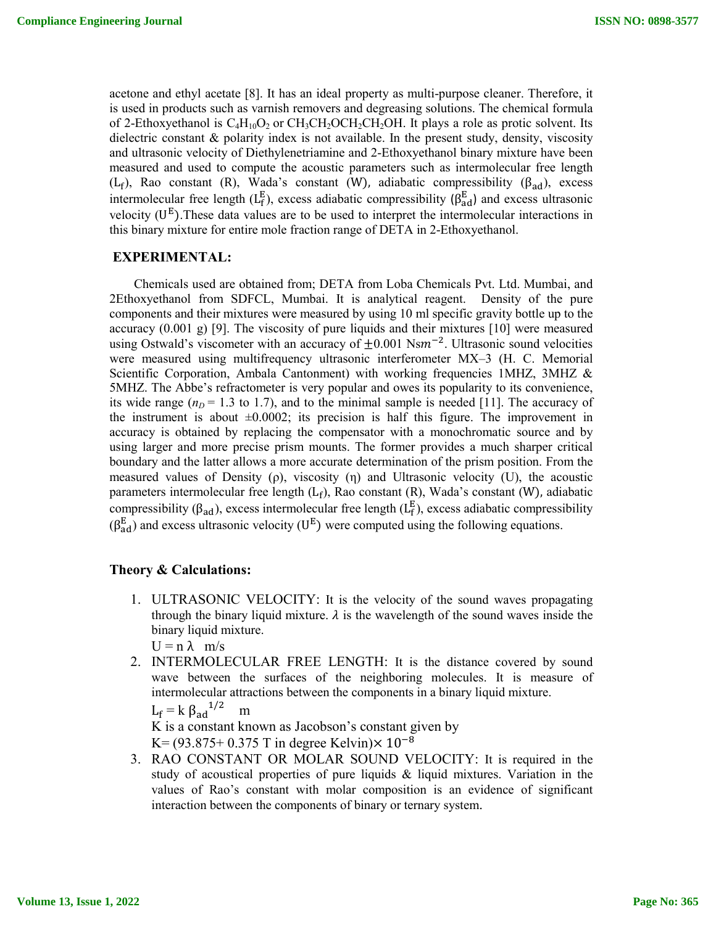acetone and ethyl acetate [8]. It has an ideal property as multi-purpose cleaner. Therefore, it is used in products such as varnish removers and degreasing solutions. The chemical formula of 2-Ethoxyethanol is  $C_4H_{10}O_2$  or  $CH_3CH_2OCH_2CH_2OH$ . It plays a role as protic solvent. Its dielectric constant & polarity index is not available. In the present study, density, viscosity and ultrasonic velocity of Diethylenetriamine and 2-Ethoxyethanol binary mixture have been measured and used to compute the acoustic parameters such as intermolecular free length (L<sub>f</sub>), Rao constant (R), Wada's constant (W), adiabatic compressibility ( $\beta_{ad}$ ), excess intermolecular free length ( $L_f^E$ ), excess adiabatic compressibility ( $\beta_{ad}^E$ ) and excess ultrasonic velocity  $(U^E)$ . These data values are to be used to interpret the intermolecular interactions in this binary mixture for entire mole fraction range of DETA in 2-Ethoxyethanol.

### **EXPERIMENTAL:**

Chemicals used are obtained from; DETA from Loba Chemicals Pvt. Ltd. Mumbai, and 2Ethoxyethanol from SDFCL, Mumbai. It is analytical reagent. Density of the pure components and their mixtures were measured by using 10 ml specific gravity bottle up to the accuracy  $(0.001 \text{ g})$  [9]. The viscosity of pure liquids and their mixtures [10] were measured using Ostwald's viscometer with an accuracy of  $\pm 0.001$  Ns $m^{-2}$ . Ultrasonic sound velocities were measured using multifrequency ultrasonic interferometer MX–3 (H. C. Memorial Scientific Corporation, Ambala Cantonment) with working frequencies 1MHZ, 3MHZ & 5MHZ. The Abbe's refractometer is very popular and owes its popularity to its convenience, its wide range  $(n<sub>D</sub> = 1.3$  to 1.7), and to the minimal sample is needed [11]. The accuracy of the instrument is about  $\pm 0.0002$ ; its precision is half this figure. The improvement in accuracy is obtained by replacing the compensator with a monochromatic source and by using larger and more precise prism mounts. The former provides a much sharper critical boundary and the latter allows a more accurate determination of the prism position. From the measured values of Density (ρ), viscosity (η) and Ultrasonic velocity (U), the acoustic parameters intermolecular free length  $(L_f)$ , Rao constant  $(R)$ , Wada's constant  $(W)$ , adiabatic compressibility ( $\beta_{ad}$ ), excess intermolecular free length ( $L_f^E$ ), excess adiabatic compressibility  $(\beta_{ad}^E)$  and excess ultrasonic velocity (U<sup>E</sup>) were computed using the following equations.

#### **Theory & Calculations:**

1. ULTRASONIC VELOCITY: It is the velocity of the sound waves propagating through the binary liquid mixture.  $\lambda$  is the wavelength of the sound waves inside the binary liquid mixture.

 $U = n \lambda$  m/s

2. INTERMOLECULAR FREE LENGTH: It is the distance covered by sound wave between the surfaces of the neighboring molecules. It is measure of intermolecular attractions between the components in a binary liquid mixture.

 $L_f = k \beta_{ad}^{1/2}$ m

K is a constant known as Jacobson's constant given by

 $K = (93.875 + 0.375$  T in degree Kelvin) $\times 10^{-8}$ 

3. RAO CONSTANT OR MOLAR SOUND VELOCITY: It is required in the study of acoustical properties of pure liquids  $\&$  liquid mixtures. Variation in the values of Rao's constant with molar composition is an evidence of significant interaction between the components of binary or ternary system.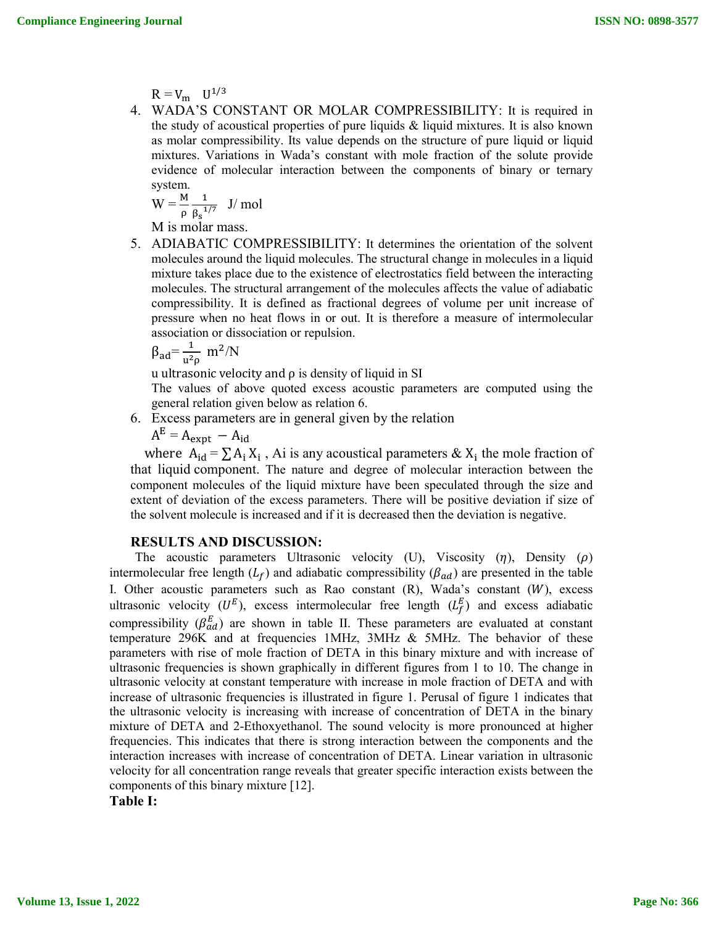$R = V_m$   $U^{1/3}$ 

4. WADA'S CONSTANT OR MOLAR COMPRESSIBILITY: It is required in the study of acoustical properties of pure liquids  $\&$  liquid mixtures. It is also known as molar compressibility. Its value depends on the structure of pure liquid or liquid mixtures. Variations in Wada's constant with mole fraction of the solute provide evidence of molecular interaction between the components of binary or ternary system.

$$
W = \frac{M}{\rho} \frac{1}{\beta_s^{1/7}}
$$
 J/mol

M is molar mass.

5. ADIABATIC COMPRESSIBILITY: It determines the orientation of the solvent molecules around the liquid molecules. The structural change in molecules in a liquid mixture takes place due to the existence of electrostatics field between the interacting molecules. The structural arrangement of the molecules affects the value of adiabatic compressibility. It is defined as fractional degrees of volume per unit increase of pressure when no heat flows in or out. It is therefore a measure of intermolecular association or dissociation or repulsion.

$$
\beta_{ad} = \frac{1}{u^2 \rho} \ m^2/N
$$

u ultrasonic velocity and  $\rho$  is density of liquid in SI

The values of above quoted excess acoustic parameters are computed using the general relation given below as relation 6.

6. Excess parameters are in general given by the relation

 $A^E = A_{expt} - A_{id}$ 

where  $A_{id} = \sum A_i X_i$ , Ai is any acoustical parameters &  $X_i$  the mole fraction of that liquid component. The nature and degree of molecular interaction between the component molecules of the liquid mixture have been speculated through the size and extent of deviation of the excess parameters. There will be positive deviation if size of the solvent molecule is increased and if it is decreased then the deviation is negative.

# **RESULTS AND DISCUSSION:**

The acoustic parameters Ultrasonic velocity (U), Viscosity  $(\eta)$ , Density  $(\rho)$ intermolecular free length  $(L_f)$  and adiabatic compressibility  $(\beta_{ad})$  are presented in the table I. Other acoustic parameters such as Rao constant  $(R)$ , Wada's constant  $(W)$ , excess ultrasonic velocity  $(U^E)$ , excess intermolecular free length  $(L_f^E)$  and excess adiabatic compressibility ( $\beta_{ad}^E$ ) are shown in table II. These parameters are evaluated at constant temperature 296K and at frequencies 1MHz,  $3MHz$  & 5MHz. The behavior of these parameters with rise of mole fraction of DETA in this binary mixture and with increase of ultrasonic frequencies is shown graphically in different figures from 1 to 10. The change in ultrasonic velocity at constant temperature with increase in mole fraction of DETA and with increase of ultrasonic frequencies is illustrated in figure 1. Perusal of figure 1 indicates that the ultrasonic velocity is increasing with increase of concentration of DETA in the binary mixture of DETA and 2-Ethoxyethanol. The sound velocity is more pronounced at higher frequencies. This indicates that there is strong interaction between the components and the interaction increases with increase of concentration of DETA. Linear variation in ultrasonic velocity for all concentration range reveals that greater specific interaction exists between the components of this binary mixture [12].

**Table I:**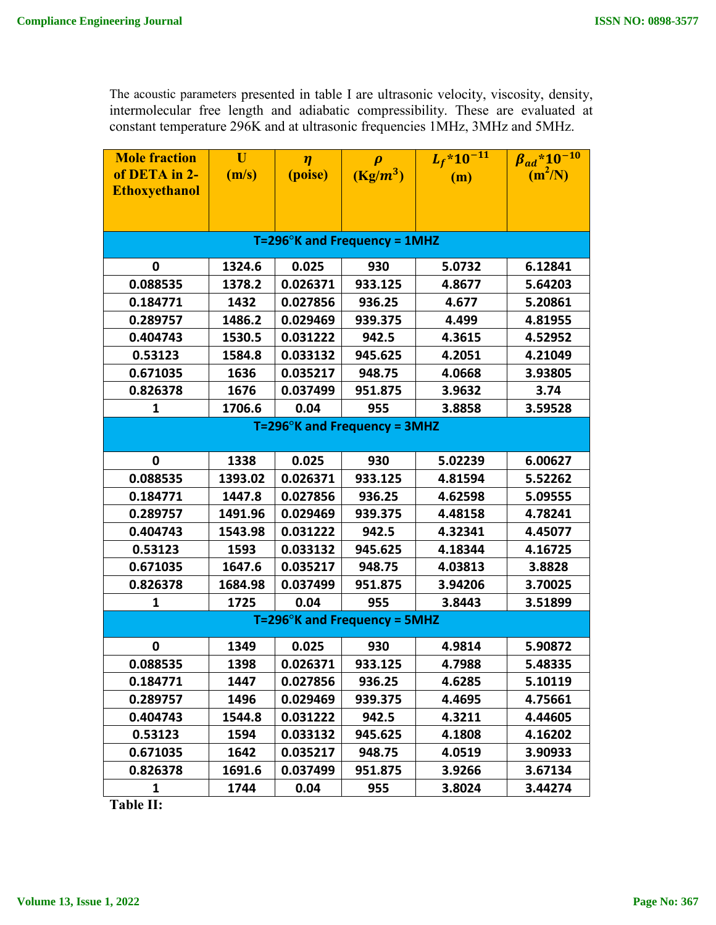The acoustic parameters presented in table I are ultrasonic velocity, viscosity, density, intermolecular free length and adiabatic compressibility. These are evaluated at constant temperature 296K and at ultrasonic frequencies 1MHz, 3MHz and 5MHz.

| <b>Mole fraction</b>                 | U       | $\eta$   | $\boldsymbol{\rho}$ | $L_f$ *10 <sup>-11</sup> | $\beta_{ad}$ *10 <sup>-10</sup> |  |  |  |  |
|--------------------------------------|---------|----------|---------------------|--------------------------|---------------------------------|--|--|--|--|
| of DETA in 2-                        | (m/s)   | (poise)  | $(Kg/m^3)$          | (m)                      | $(m^2/N)$                       |  |  |  |  |
| <b>Ethoxyethanol</b>                 |         |          |                     |                          |                                 |  |  |  |  |
|                                      |         |          |                     |                          |                                 |  |  |  |  |
|                                      |         |          |                     |                          |                                 |  |  |  |  |
| $T=296^\circ$ K and Frequency = 1MHZ |         |          |                     |                          |                                 |  |  |  |  |
| $\mathbf 0$                          | 1324.6  | 0.025    | 930                 | 5.0732                   | 6.12841                         |  |  |  |  |
| 0.088535                             | 1378.2  | 0.026371 | 933.125             | 4.8677                   | 5.64203                         |  |  |  |  |
| 0.184771                             | 1432    | 0.027856 | 936.25              | 4.677                    | 5.20861                         |  |  |  |  |
| 0.289757                             | 1486.2  | 0.029469 | 939.375             | 4.499                    | 4.81955                         |  |  |  |  |
| 0.404743                             | 1530.5  | 0.031222 | 942.5               | 4.3615                   | 4.52952                         |  |  |  |  |
| 0.53123                              | 1584.8  | 0.033132 | 945.625             | 4.2051                   | 4.21049                         |  |  |  |  |
| 0.671035                             | 1636    | 0.035217 | 948.75              | 4.0668                   | 3.93805                         |  |  |  |  |
| 0.826378                             | 1676    | 0.037499 | 951.875             | 3.9632                   | 3.74                            |  |  |  |  |
| 1                                    | 1706.6  | 0.04     | 955                 | 3.8858                   | 3.59528                         |  |  |  |  |
| $T=296^\circ$ K and Frequency = 3MHZ |         |          |                     |                          |                                 |  |  |  |  |
|                                      |         |          |                     |                          |                                 |  |  |  |  |
| $\mathbf 0$                          | 1338    | 0.025    | 930                 | 5.02239                  | 6.00627                         |  |  |  |  |
| 0.088535                             | 1393.02 | 0.026371 | 933.125             | 4.81594                  | 5.52262                         |  |  |  |  |
| 0.184771                             | 1447.8  | 0.027856 | 936.25              | 4.62598                  | 5.09555                         |  |  |  |  |
| 0.289757                             | 1491.96 | 0.029469 | 939.375             | 4.48158                  | 4.78241                         |  |  |  |  |
| 0.404743                             | 1543.98 | 0.031222 | 942.5               | 4.32341                  | 4.45077                         |  |  |  |  |
| 0.53123                              | 1593    | 0.033132 | 945.625             | 4.18344                  | 4.16725                         |  |  |  |  |
| 0.671035                             | 1647.6  | 0.035217 | 948.75              | 4.03813                  | 3.8828                          |  |  |  |  |
| 0.826378                             | 1684.98 | 0.037499 | 951.875             | 3.94206                  | 3.70025                         |  |  |  |  |
| 1                                    | 1725    | 0.04     | 955                 | 3.8443                   | 3.51899                         |  |  |  |  |
| $T=296^\circ$ K and Frequency = 5MHZ |         |          |                     |                          |                                 |  |  |  |  |
| 0                                    | 1349    | 0.025    | 930                 | 4.9814                   | 5.90872                         |  |  |  |  |
| 0.088535                             | 1398    | 0.026371 | 933.125             | 4.7988                   | 5.48335                         |  |  |  |  |
| 0.184771                             | 1447    | 0.027856 | 936.25              | 4.6285                   | 5.10119                         |  |  |  |  |
| 0.289757                             | 1496    | 0.029469 | 939.375             | 4.4695                   | 4.75661                         |  |  |  |  |
| 0.404743                             | 1544.8  | 0.031222 | 942.5               | 4.3211                   | 4.44605                         |  |  |  |  |
| 0.53123                              | 1594    | 0.033132 | 945.625             | 4.1808                   | 4.16202                         |  |  |  |  |
| 0.671035                             | 1642    | 0.035217 | 948.75              | 4.0519                   | 3.90933                         |  |  |  |  |
| 0.826378                             | 1691.6  | 0.037499 | 951.875             | 3.9266                   | 3.67134                         |  |  |  |  |
| 1                                    | 1744    | 0.04     | 955                 | 3.8024                   | 3.44274                         |  |  |  |  |

**Table II:**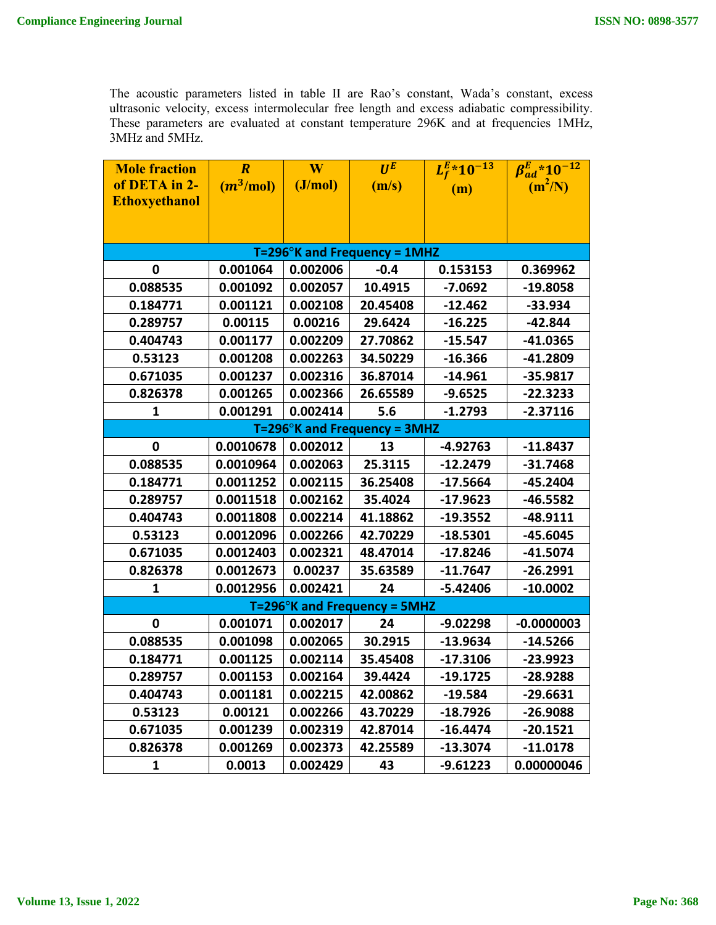The acoustic parameters listed in table II are Rao's constant, Wada's constant, excess ultrasonic velocity, excess intermolecular free length and excess adiabatic compressibility. These parameters are evaluated at constant temperature 296K and at frequencies 1MHz, 3MHz and 5MHz.

| <b>Mole fraction</b>                 | $\overline{R}$ | W        | $U^E$    | $L_f^{\cancel{E_*}} 10^{-13}$ | $\beta_{ad}^E$ *10 <sup>-12</sup> |  |  |  |  |
|--------------------------------------|----------------|----------|----------|-------------------------------|-----------------------------------|--|--|--|--|
| of DETA in 2-                        | $(m^3/mol)$    | (J/mol)  | (m/s)    | (m)                           | $(m^2/N)$                         |  |  |  |  |
| <b>Ethoxyethanol</b>                 |                |          |          |                               |                                   |  |  |  |  |
|                                      |                |          |          |                               |                                   |  |  |  |  |
|                                      |                |          |          |                               |                                   |  |  |  |  |
| $T=296^\circ$ K and Frequency = 1MHZ |                |          |          |                               |                                   |  |  |  |  |
| $\mathbf 0$                          | 0.001064       | 0.002006 | $-0.4$   | 0.153153                      | 0.369962                          |  |  |  |  |
| 0.088535                             | 0.001092       | 0.002057 | 10.4915  | $-7.0692$                     | -19.8058                          |  |  |  |  |
| 0.184771                             | 0.001121       | 0.002108 | 20.45408 | $-12.462$                     | $-33.934$                         |  |  |  |  |
| 0.289757                             | 0.00115        | 0.00216  | 29.6424  | $-16.225$                     | $-42.844$                         |  |  |  |  |
| 0.404743                             | 0.001177       | 0.002209 | 27.70862 | $-15.547$                     | $-41.0365$                        |  |  |  |  |
| 0.53123                              | 0.001208       | 0.002263 | 34.50229 | $-16.366$                     | -41.2809                          |  |  |  |  |
| 0.671035                             | 0.001237       | 0.002316 | 36.87014 | $-14.961$                     | $-35.9817$                        |  |  |  |  |
| 0.826378                             | 0.001265       | 0.002366 | 26.65589 | $-9.6525$                     | $-22.3233$                        |  |  |  |  |
| 1                                    | 0.001291       | 0.002414 | 5.6      | $-1.2793$                     | $-2.37116$                        |  |  |  |  |
| $T=296^\circ$ K and Frequency = 3MHZ |                |          |          |                               |                                   |  |  |  |  |
| 0                                    | 0.0010678      | 0.002012 | 13       | $-4.92763$                    | $-11.8437$                        |  |  |  |  |
| 0.088535                             | 0.0010964      | 0.002063 | 25.3115  | $-12.2479$                    | $-31.7468$                        |  |  |  |  |
| 0.184771                             | 0.0011252      | 0.002115 | 36.25408 | $-17.5664$                    | -45.2404                          |  |  |  |  |
| 0.289757                             | 0.0011518      | 0.002162 | 35.4024  | $-17.9623$                    | $-46.5582$                        |  |  |  |  |
| 0.404743                             | 0.0011808      | 0.002214 | 41.18862 | $-19.3552$                    | -48.9111                          |  |  |  |  |
| 0.53123                              | 0.0012096      | 0.002266 | 42.70229 | $-18.5301$                    | -45.6045                          |  |  |  |  |
| 0.671035                             | 0.0012403      | 0.002321 | 48.47014 | $-17.8246$                    | $-41.5074$                        |  |  |  |  |
| 0.826378                             | 0.0012673      | 0.00237  | 35.63589 | $-11.7647$                    | $-26.2991$                        |  |  |  |  |
| 1                                    | 0.0012956      | 0.002421 | 24       | $-5.42406$                    | $-10.0002$                        |  |  |  |  |
| $T=296^\circ$ K and Frequency = 5MHZ |                |          |          |                               |                                   |  |  |  |  |
| 0                                    | 0.001071       | 0.002017 | 24       | $-9.02298$                    | $-0.0000003$                      |  |  |  |  |
| 0.088535                             | 0.001098       | 0.002065 | 30.2915  | $-13.9634$                    | $-14.5266$                        |  |  |  |  |
| 0.184771                             | 0.001125       | 0.002114 | 35.45408 | $-17.3106$                    | -23.9923                          |  |  |  |  |
| 0.289757                             | 0.001153       | 0.002164 | 39.4424  | $-19.1725$                    | $-28.9288$                        |  |  |  |  |
| 0.404743                             | 0.001181       | 0.002215 | 42.00862 | $-19.584$                     | -29.6631                          |  |  |  |  |
| 0.53123                              | 0.00121        | 0.002266 | 43.70229 | $-18.7926$                    | -26.9088                          |  |  |  |  |
| 0.671035                             | 0.001239       | 0.002319 | 42.87014 | $-16.4474$                    | $-20.1521$                        |  |  |  |  |
| 0.826378                             | 0.001269       | 0.002373 | 42.25589 | $-13.3074$                    | $-11.0178$                        |  |  |  |  |
| 1                                    | 0.0013         | 0.002429 | 43       | -9.61223                      | 0.00000046                        |  |  |  |  |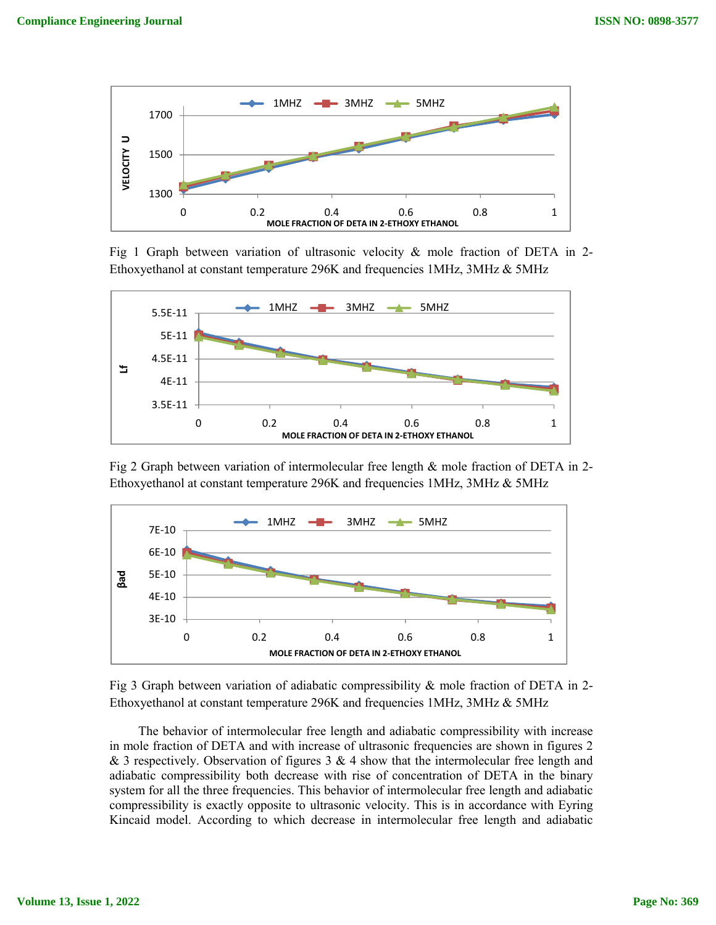

Fig 1 Graph between variation of ultrasonic velocity  $\&$  mole fraction of DETA in 2-Ethoxyethanol at constant temperature 296K and frequencies 1MHz, 3MHz & 5MHz



Fig 2 Graph between variation of intermolecular free length & mole fraction of DETA in 2- Ethoxyethanol at constant temperature 296K and frequencies 1MHz, 3MHz & 5MHz





 The behavior of intermolecular free length and adiabatic compressibility with increase in mole fraction of DETA and with increase of ultrasonic frequencies are shown in figures 2 & 3 respectively. Observation of figures  $3 \& 4$  show that the intermolecular free length and adiabatic compressibility both decrease with rise of concentration of DETA in the binary system for all the three frequencies. This behavior of intermolecular free length and adiabatic compressibility is exactly opposite to ultrasonic velocity. This is in accordance with Eyring Kincaid model. According to which decrease in intermolecular free length and adiabatic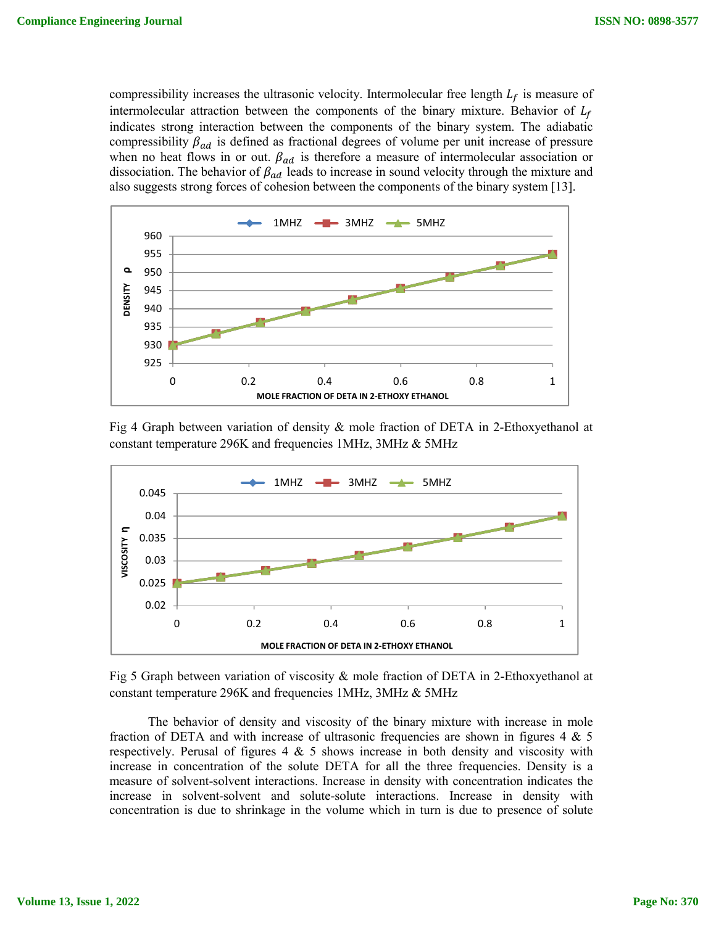compressibility increases the ultrasonic velocity. Intermolecular free length  $L_f$  is measure of intermolecular attraction between the components of the binary mixture. Behavior of  $L_f$ indicates strong interaction between the components of the binary system. The adiabatic compressibility  $\beta_{ad}$  is defined as fractional degrees of volume per unit increase of pressure when no heat flows in or out.  $\beta_{ad}$  is therefore a measure of intermolecular association or dissociation. The behavior of  $\beta_{ad}$  leads to increase in sound velocity through the mixture and also suggests strong forces of cohesion between the components of the binary system [13].



Fig 4 Graph between variation of density & mole fraction of DETA in 2-Ethoxyethanol at constant temperature 296K and frequencies 1MHz, 3MHz & 5MHz



Fig 5 Graph between variation of viscosity & mole fraction of DETA in 2-Ethoxyethanol at constant temperature 296K and frequencies 1MHz, 3MHz & 5MHz

 The behavior of density and viscosity of the binary mixture with increase in mole fraction of DETA and with increase of ultrasonic frequencies are shown in figures  $4 \& 5$ respectively. Perusal of figures  $4 \& 5$  shows increase in both density and viscosity with increase in concentration of the solute DETA for all the three frequencies. Density is a measure of solvent-solvent interactions. Increase in density with concentration indicates the increase in solvent-solvent and solute-solute interactions. Increase in density with concentration is due to shrinkage in the volume which in turn is due to presence of solute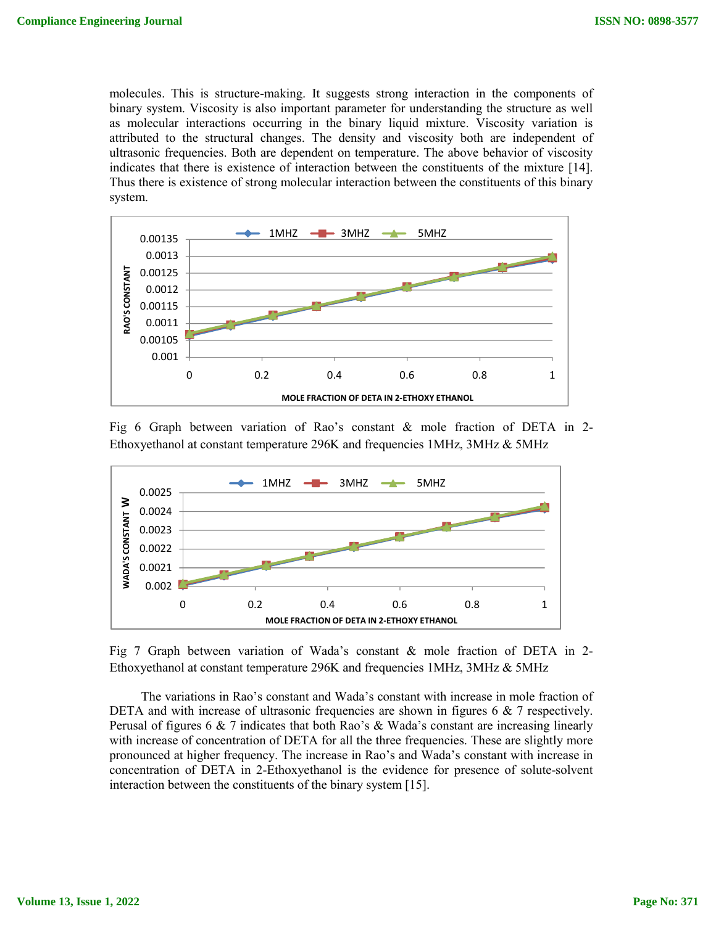molecules. This is structure-making. It suggests strong interaction in the components of binary system. Viscosity is also important parameter for understanding the structure as well as molecular interactions occurring in the binary liquid mixture. Viscosity variation is attributed to the structural changes. The density and viscosity both are independent of ultrasonic frequencies. Both are dependent on temperature. The above behavior of viscosity indicates that there is existence of interaction between the constituents of the mixture [14]. Thus there is existence of strong molecular interaction between the constituents of this binary system.



Fig 6 Graph between variation of Rao's constant & mole fraction of DETA in 2- Ethoxyethanol at constant temperature 296K and frequencies 1MHz, 3MHz & 5MHz



Fig 7 Graph between variation of Wada's constant & mole fraction of DETA in 2- Ethoxyethanol at constant temperature 296K and frequencies 1MHz, 3MHz & 5MHz

 The variations in Rao's constant and Wada's constant with increase in mole fraction of DETA and with increase of ultrasonic frequencies are shown in figures 6 & 7 respectively. Perusal of figures 6  $\&$  7 indicates that both Rao's  $\&$  Wada's constant are increasing linearly with increase of concentration of DETA for all the three frequencies. These are slightly more pronounced at higher frequency. The increase in Rao's and Wada's constant with increase in concentration of DETA in 2-Ethoxyethanol is the evidence for presence of solute-solvent interaction between the constituents of the binary system [15].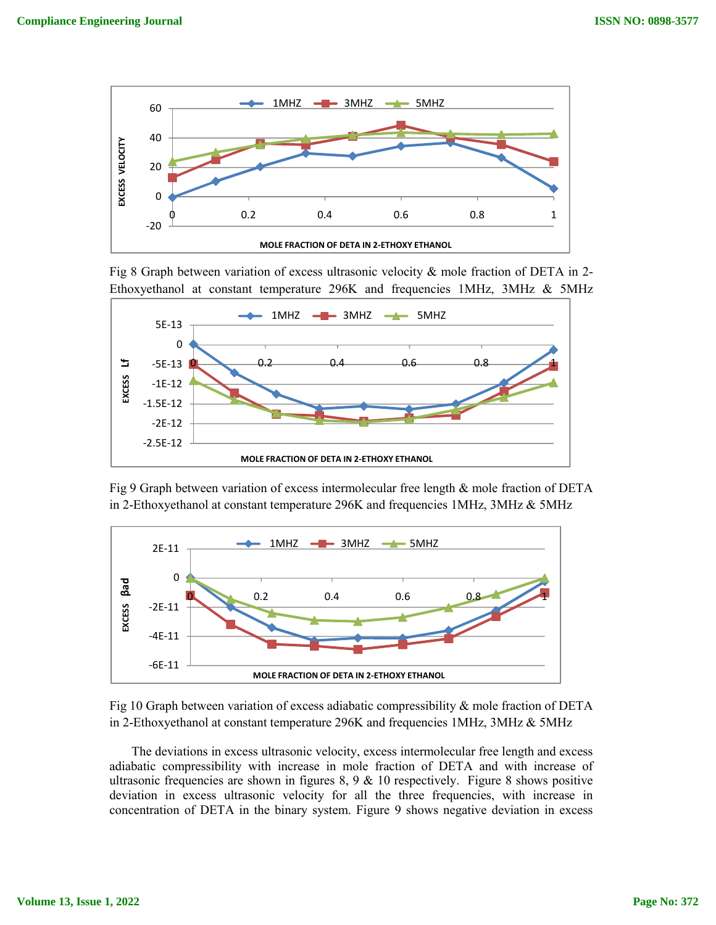

Fig 8 Graph between variation of excess ultrasonic velocity & mole fraction of DETA in 2- Ethoxyethanol at constant temperature 296K and frequencies 1MHz, 3MHz & 5MHz



Fig 9 Graph between variation of excess intermolecular free length & mole fraction of DETA in 2-Ethoxyethanol at constant temperature 296K and frequencies 1MHz, 3MHz & 5MHz



Fig 10 Graph between variation of excess adiabatic compressibility & mole fraction of DETA in 2-Ethoxyethanol at constant temperature 296K and frequencies 1MHz, 3MHz & 5MHz

 The deviations in excess ultrasonic velocity, excess intermolecular free length and excess adiabatic compressibility with increase in mole fraction of DETA and with increase of ultrasonic frequencies are shown in figures  $8, 9, \& 10$  respectively. Figure 8 shows positive deviation in excess ultrasonic velocity for all the three frequencies, with increase in concentration of DETA in the binary system. Figure 9 shows negative deviation in excess